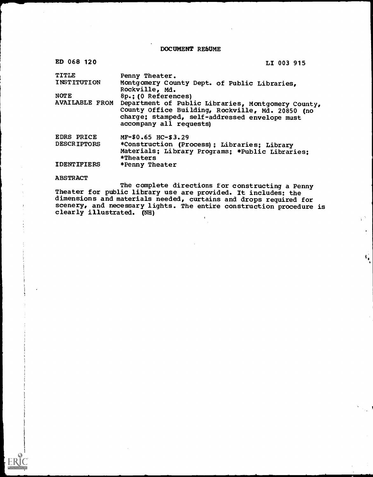DOCUMENT REbUME

| ED 068 120                                                    | LI 003 915                                                                                                                                                                                                                                                                                    |
|---------------------------------------------------------------|-----------------------------------------------------------------------------------------------------------------------------------------------------------------------------------------------------------------------------------------------------------------------------------------------|
| TITLE<br>INSTITUTION<br><b>NOTE</b><br><b>AVAILABLE FROM</b>  | Penny Theater.<br>Montgomery County Dept. of Public Libraries,<br>Rockville, Md.<br>8p.: (0 References)<br>Department of Public Libraries, Montgomery County,<br>County Office Building, Rockville, Md. 20850 (no<br>charge; stamped, self-addressed envelope must<br>accompany all requests) |
| <b>EDRS PRICE</b><br><b>DESCRIPTORS</b><br><b>IDENTIFIERS</b> | MF-\$0.65 HC-\$3.29<br>*Construction (Process); Libraries; Library<br>Materials; Library Programs; *Public Libraries;<br>*Theaters<br>*Penny Theater                                                                                                                                          |

ABSTRACT

The complete directions for constructing a Penny Theater for public library use are provided. It includes: the dimensions and materials needed, curtains and drops required for scenery, and necessary lights. The entire construction procedure is clearly illustrated. (NH) $\mathbf{r}$ 

 $\frac{1}{2}$  .

 $\bullet$ 

 $\hat{\mathbf{r}}_0$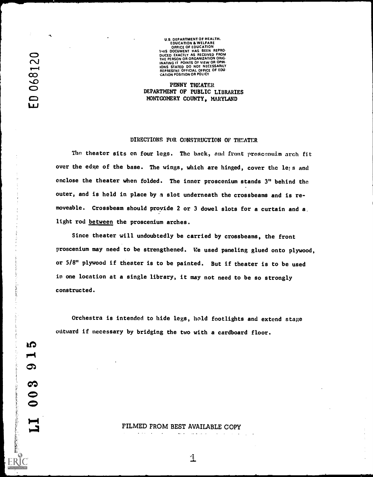**IQ** 

ග

6.

 $\mathbf{r}$ 

U.S. DEPARTMENT OF HEALTH,<br>
EDUCATION<br>
OFFICE OF EDUCATION<br>
ON DUCED EXACTLY AS RECEIVED FROM<br>
DUCED EXACTLY AS RECEIVED FROM<br>
THE PERSON OR ORGANIZATION ORIG.<br>
INATING IT POINTS OF VIEW OR OPIN. ons Stated DO NOT NECESSARILY<br>REPRESFNI OFFICIAL OFFICE OF EDU **CATION POSITION OR POLICY** 

> PENNY THEATER DEPARTMENT OF PUBLIC LIBRARIES MONTGOMERY COUNTY, MARYLAND

## DIRECTIONS FOR CONSTRUCTION OF THEATER

The theater sits on four legs. The back, and front proscenuim arch fit over the edge of the base. The wings, which are hinged, cover the lets and enclose the theater when folded. The inner proscenium stands 3" behind the outer, and is held in place by a slot underneath the crossbeams and is removeable. Crossbeam should proyide 2 or 3 dowel slots for a curtain and a. light rod between the proscenium arches.

Since theater will undoubtedly be carried by crossbeams, the front proscenium may need to be strengthened. We used paneling glued onto plywood, or 5/8" plywood if theater is to be painted. But if theater is to be used in one location at a single library, it may not need to be so strongly constructed.

Orchestra is intended to hide legs, hold footlights and extend stage outward if necessary by bridging the two with a cardboard floor.

> FILMED FROM BEST AVAILABLE COPY $\Delta \omega$  ,  $\Delta \omega$

 $\omega_{\rm{max}}$ 

 $\sim 10^{-1}$ 

1

المعاملات المناسب

and some state and all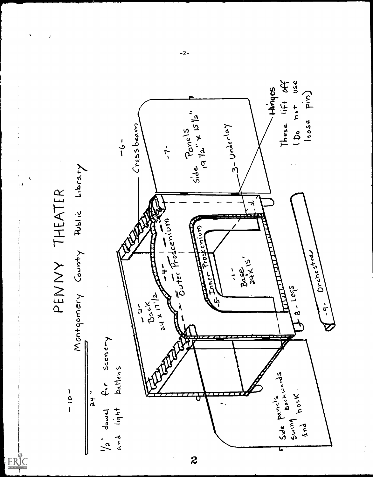

 $\ddot{\phantom{0}}$ 

 $-2-$ 

 $\boldsymbol{z}$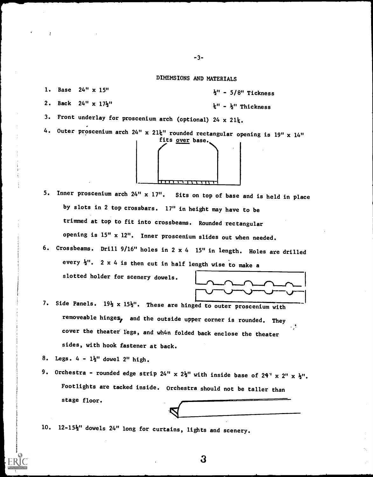## DIMENSIONS AND MATERIALS

1. Base 24" x 15"

 $\frac{1}{2}$ " - 5/8" Tickness

2. Back 24" x 17}"

 $k'' - k''$  Thickness

3. Front underlay for proscenium arch (optional)  $24 \times 21\frac{1}{4}$ .

4. Outer proscenium arch 24" x 21k" rounded rectangular opening is 19" x 14"



- 5. Inner proscenium arch 24" x 17". Sits on top of base and is held in place by slots in 2 top crossbars. 17" in height may have to be trimmed at top to fit into crossbeams. Rounded rectangular opening is 15" x 12". Inner proscenium slides out when needed.
- 6. Crossbeams. Drill 9/16" holes in 2 x 4 15" in length. Holes are drilled every  $\frac{1}{2}$ ". 2 x 4 is then cut in half length wise to make a

slotted holder for scenery dowels.



7. Side Panels.  $19\frac{1}{2}$  x  $15\frac{1}{2}$ ". These are hinged to outer proscenium with removeable hinges, and the outside upper corner is rounded. They . . cover the theater legs, and wh4n folded back enclose the theater sides, with hook fastener at back.

- 8. Legs.  $4 1\frac{1}{2}$ " dowel 2" high.
- 9. Orchestra rounded edge strip 24" x  $2\frac{1}{2}$ " with inside base of  $24$ " x  $2$ " x  $\frac{1}{2}$ ". Footlights are tacked inside. Orchestra should not be taller than stage floor.

3

10. 12-15k" dowels 24" long for curtains, lights and scenery.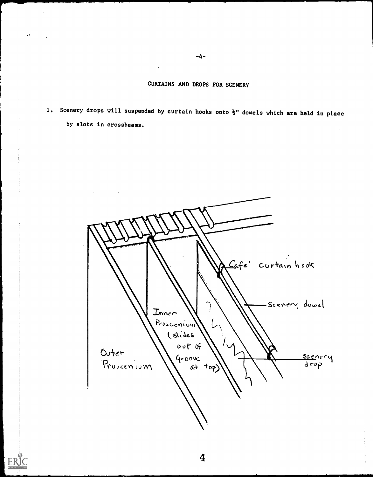CURTAINS AND DROPS FOR SCENERY

1. Scenery drops will suspended by curtain hooks onto  $\frac{1}{2}$ " dowels which are held in place by slots in crossbeams.



4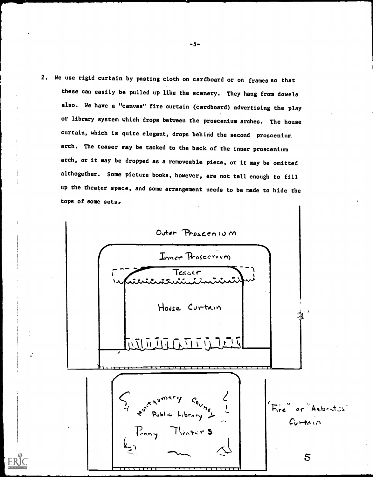2. We use rigid curtain by pasting cloth on cardboard or on frames so that these can easily be pulled up like the scenery. They hang from dowels also. We have a "canvas" fire curtain (cardboard) advertising the play or library system which drops between the proscenium arches. The house curtain, which is quite elegant, drops behind the second proscenium arch. The teaser may be tacked to the back of the inner proscenium arch, or it may be dropped as a removeable piece, or it may be omitted althogether. Some picture books, however, are not tall enough to fill up the theater space, and some arrangement needs to be made to hide the tops of some sets.

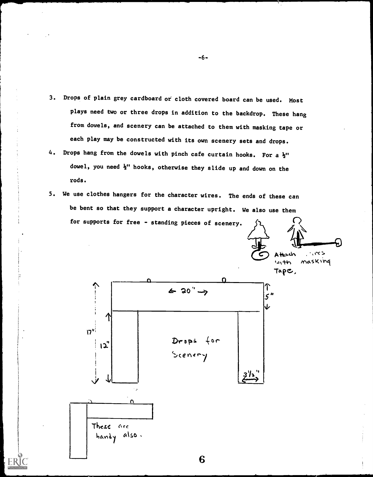- Drops of plain grey cardboard or cloth covered board can be used. Most  $3.$ plays need two or three drops in addition to the backdrop. These hang from dowels, and scenery can be attached to them with masking tape or each play may be constructed with its own scenery sets and drops.
- Drops hang from the dowels with pinch cafe curtain hooks. For a  $\frac{1}{2}$ " 4. dowel, you need  $\frac{1}{2}$ " hooks, otherwise they slide up and down on the rods.
- 5. We use clothes hangers for the character wires. The ends of these can be bent so that they support a character upright. We also use them for supports for free - standing pieces of scenery.



6

 $-6-$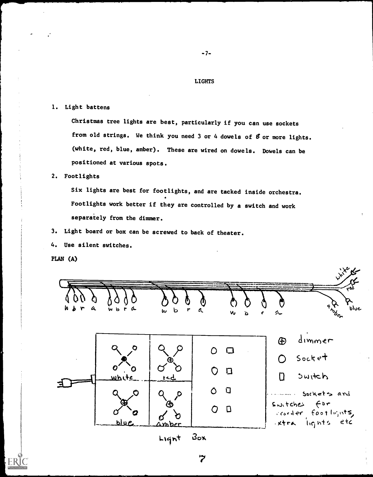## **LIGHTS**

 $-7-$ 

## 1. Light battens

Christmas tree lights are best, particularly if you can use sockets from old strings. We think you need 3 or 4 dowels of  $f$  or more lights. (white, red, blue, amber). These are wired on dowels. Dowels can be positioned at various spots.

2. Footlights

Six lights are best for footlights, and are tacked inside orchestra. Footlights work better if they are controlled by a switch and work separately from the dimmer.

Light board or box can be screwed to back of theater.  $3.$ 

Use silent switches.  $4.$ 

PLAN (A)